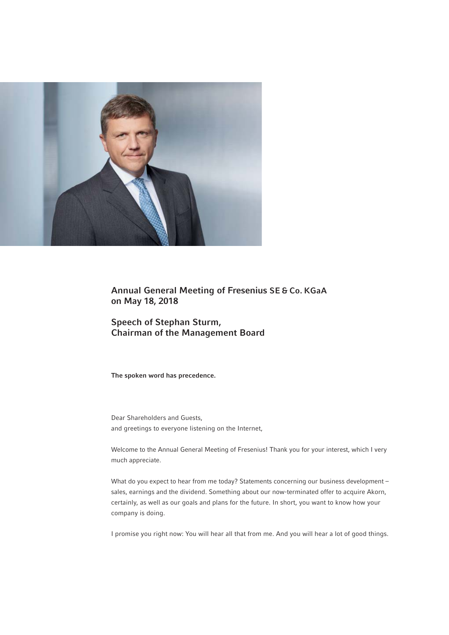

Annual General Meeting of Fresenius SE & Co. KGaA on May 18, 2018

Speech of Stephan Sturm, Chairman of the Management Board

The spoken word has precedence.

Dear Shareholders and Guests, and greetings to everyone listening on the Internet,

Welcome to the Annual General Meeting of Fresenius! Thank you for your interest, which I very much appreciate.

What do you expect to hear from me today? Statements concerning our business development sales, earnings and the dividend. Something about our now-terminated offer to acquire Akorn, certainly, as well as our goals and plans for the future. In short, you want to know how your company is doing.

I promise you right now: You will hear all that from me. And you will hear a lot of good things.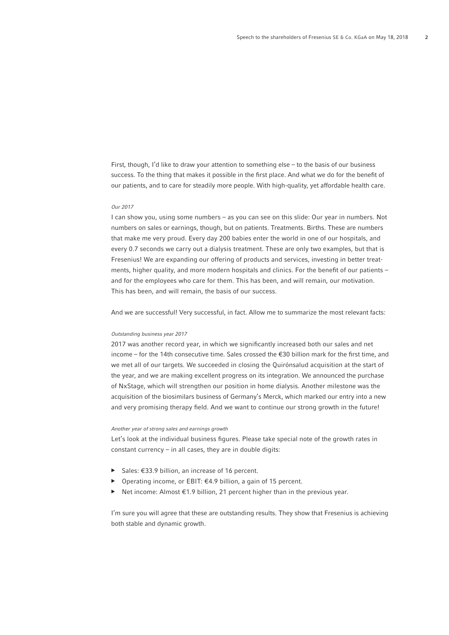First, though, I'd like to draw your attention to something else – to the basis of our business success. To the thing that makes it possible in the first place. And what we do for the benefit of our patients, and to care for steadily more people. With high-quality, yet affordable health care.

#### *Our 2017*

I can show you, using some numbers – as you can see on this slide: Our year in numbers. Not numbers on sales or earnings, though, but on patients. Treatments. Births. These are numbers that make me very proud. Every day 200 babies enter the world in one of our hospitals, and every 0.7 seconds we carry out a dialysis treatment. These are only two examples, but that is Fresenius! We are expanding our offering of products and services, investing in better treatments, higher quality, and more modern hospitals and clinics. For the benefit of our patients and for the employees who care for them. This has been, and will remain, our motivation. This has been, and will remain, the basis of our success.

And we are successful! Very successful, in fact. Allow me to summarize the most relevant facts:

### *Outstanding business year 2017*

2017 was another record year, in which we significantly increased both our sales and net income – for the 14th consecutive time. Sales crossed the  $E30$  billion mark for the first time, and we met all of our targets. We succeeded in closing the Quirónsalud acquisition at the start of the year, and we are making excellent progress on its integration. We announced the purchase of NxStage, which will strengthen our position in home dialysis. Another milestone was the acquisition of the biosimilars business of Germany's Merck, which marked our entry into a new and very promising therapy field. And we want to continue our strong growth in the future!

#### *Another year of strong sales and earnings growth*

Let's look at the individual business figures. Please take special note of the growth rates in constant currency – in all cases, they are in double digits:

- ▶ Sales: €33.9 billion, an increase of 16 percent.
- Operating income, or EBIT:  $€4.9$  billion, a gain of 15 percent.
- Net income: Almost €1.9 billion, 21 percent higher than in the previous year.

I'm sure you will agree that these are outstanding results. They show that Fresenius is achieving both stable and dynamic growth.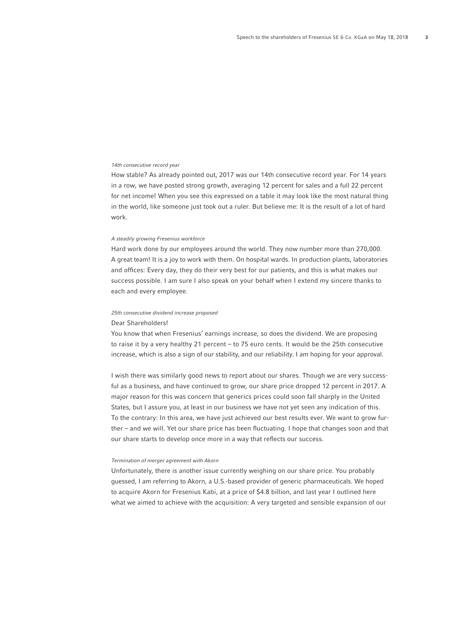# *14th consecutive record year*

How stable? As already pointed out, 2017 was our 14th consecutive record year. For 14 years in a row, we have posted strong growth, averaging 12 percent for sales and a full 22 percent for net income! When you see this expressed on a table it may look like the most natural thing in the world, like someone just took out a ruler. But believe me: It is the result of a lot of hard work.

# *A steadily growing Fresenius workforce*

Hard work done by our employees around the world. They now number more than 270,000. A great team! It is a joy to work with them. On hospital wards. In production plants, laboratories and offices: Every day, they do their very best for our patients, and this is what makes our success possible. I am sure I also speak on your behalf when I extend my sincere thanks to each and every employee.

## *25th consecutive dividend increase proposed*

# Dear Shareholders!

You know that when Fresenius' earnings increase, so does the dividend. We are proposing to raise it by a very healthy 21 percent – to 75 euro cents. It would be the 25th consecutive increase, which is also a sign of our stability, and our reliability. I am hoping for your approval.

I wish there was similarly good news to report about our shares. Though we are very successful as a business, and have continued to grow, our share price dropped 12 percent in 2017. A major reason for this was concern that generics prices could soon fall sharply in the United States, but I assure you, at least in our business we have not yet seen any indication of this. To the contrary: In this area, we have just achieved our best results ever. We want to grow further – and we will. Yet our share price has been fluctuating. I hope that changes soon and that our share starts to develop once more in a way that reflects our success.

#### *Termination of merger agreement with Akorn*

Unfortunately, there is another issue currently weighing on our share price. You probably guessed, I am referring to Akorn, a U.S.-based provider of generic pharmaceuticals. We hoped to acquire Akorn for Fresenius Kabi, at a price of \$4.8 billion, and last year I outlined here what we aimed to achieve with the acquisition: A very targeted and sensible expansion of our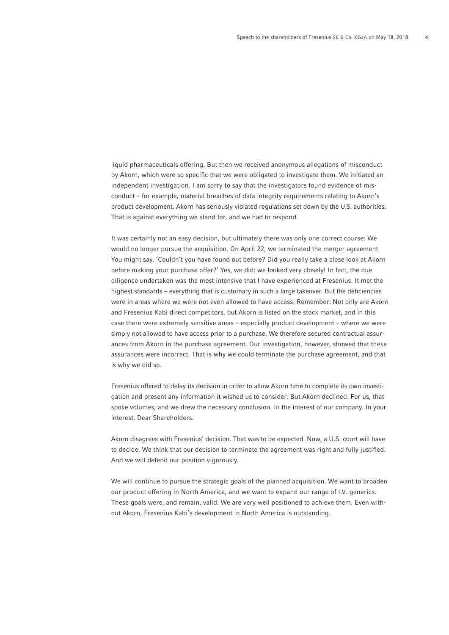liquid pharmaceuticals offering. But then we received anonymous allegations of misconduct by Akorn, which were so specific that we were obligated to investigate them. We initiated an independent investigation. I am sorry to say that the investigators found evidence of misconduct – for example, material breaches of data integrity requirements relating to Akorn's product development. Akorn has seriously violated regulations set down by the U.S. authorities: That is against everything we stand for, and we had to respond.

It was certainly not an easy decision, but ultimately there was only one correct course: We would no longer pursue the acquisition. On April 22, we terminated the merger agreement. You might say, 'Couldn't you have found out before? Did you really take a close look at Akorn before making your purchase offer?' Yes, we did: we looked very closely! In fact, the due diligence undertaken was the most intensive that I have experienced at Fresenius. It met the highest standards – everything that is customary in such a large takeover. But the deficiencies were in areas where we were not even allowed to have access. Remember: Not only are Akorn and Fresenius Kabi direct competitors, but Akorn is listed on the stock market, and in this case there were extremely sensitive areas – especially product development – where we were simply not allowed to have access prior to a purchase. We therefore secured contractual assurances from Akorn in the purchase agreement. Our investigation, however, showed that these assurances were incorrect. That is why we could terminate the purchase agreement, and that is why we did so.

Fresenius offered to delay its decision in order to allow Akorn time to complete its own investigation and present any information it wished us to consider. But Akorn declined. For us, that spoke volumes, and we drew the necessary conclusion. In the interest of our company. In your interest, Dear Shareholders.

Akorn disagrees with Fresenius' decision. That was to be expected. Now, a U.S. court will have to decide. We think that our decision to terminate the agreement was right and fully justified. And we will defend our position vigorously.

We will continue to pursue the strategic goals of the planned acquisition. We want to broaden our product offering in North America, and we want to expand our range of I.V. generics. These goals were, and remain, valid. We are very well positioned to achieve them. Even without Akorn, Fresenius Kabi's development in North America is outstanding.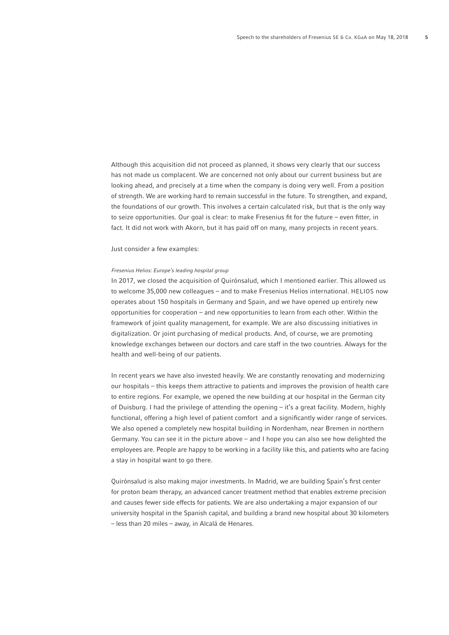Although this acquisition did not proceed as planned, it shows very clearly that our success has not made us complacent. We are concerned not only about our current business but are looking ahead, and precisely at a time when the company is doing very well. From a position of strength. We are working hard to remain successful in the future. To strengthen, and expand, the foundations of our growth. This involves a certain calculated risk, but that is the only way to seize opportunities. Our goal is clear: to make Fresenius fit for the future – even fitter, in fact. It did not work with Akorn, but it has paid off on many, many projects in recent years.

Just consider a few examples:

## *Fresenius Helios: Europe's leading hospital group*

In 2017, we closed the acquisition of Quirónsalud, which I mentioned earlier. This allowed us to welcome 35,000 new colleagues – and to make Fresenius Helios international. HELIOS now operates about 150 hospitals in Germany and Spain, and we have opened up entirely new opportunities for cooperation – and new opportunities to learn from each other. Within the framework of joint quality management, for example. We are also discussing initiatives in digitalization. Or joint purchasing of medical products. And, of course, we are promoting knowledge exchanges between our doctors and care staff in the two countries. Always for the health and well-being of our patients.

In recent years we have also invested heavily. We are constantly renovating and modernizing our hospitals – this keeps them attractive to patients and improves the provision of health care to entire regions. For example, we opened the new building at our hospital in the German city of Duisburg. I had the privilege of attending the opening – it's a great facility. Modern, highly functional, offering a high level of patient comfort and a significantly wider range of services. We also opened a completely new hospital building in Nordenham, near Bremen in northern Germany. You can see it in the picture above – and I hope you can also see how delighted the employees are. People are happy to be working in a facility like this, and patients who are facing a stay in hospital want to go there.

Quirónsalud is also making major investments. In Madrid, we are building Spain's first center for proton beam therapy, an advanced cancer treatment method that enables extreme precision and causes fewer side effects for patients. We are also undertaking a major expansion of our university hospital in the Spanish capital, and building a brand new hospital about 30 kilometers – less than 20 miles – away, in Alcalá de Henares.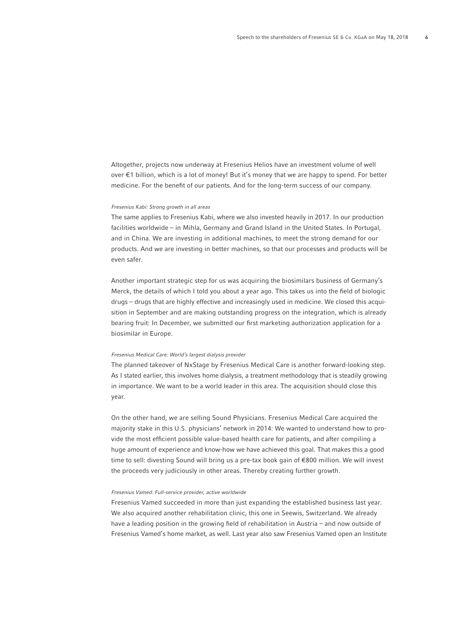Altogether, projects now underway at Fresenius Helios have an investment volume of well over €1 billion, which is a lot of money! But it's money that we are happy to spend. For better medicine. For the benefit of our patients. And for the long-term success of our company.

### *Fresenius Kabi: Strong growth in all areas*

The same applies to Fresenius Kabi, where we also invested heavily in 2017. In our production facilities worldwide – in Mihla, Germany and Grand Island in the United States. In Portugal, and in China. We are investing in additional machines, to meet the strong demand for our products. And we are investing in better machines, so that our processes and products will be even safer.

Another important strategic step for us was acquiring the biosimilars business of Germany's Merck, the details of which I told you about a year ago. This takes us into the field of biologic drugs – drugs that are highly effective and increasingly used in medicine. We closed this acquisition in September and are making outstanding progress on the integration, which is already bearing fruit: In December, we submitted our first marketing authorization application for a biosimilar in Europe.

#### *Fresenius Medical Care: World's largest dialysis provider*

The planned takeover of NxStage by Fresenius Medical Care is another forward-looking step. As I stated earlier, this involves home dialysis, a treatment methodology that is steadily growing in importance. We want to be a world leader in this area. The acquisition should close this year.

On the other hand, we are selling Sound Physicians. Fresenius Medical Care acquired the majority stake in this U.S. physicians' network in 2014: We wanted to understand how to provide the most efficient possible value-based health care for patients, and after compiling a huge amount of experience and know-how we have achieved this goal. That makes this a good time to sell: divesting Sound will bring us a pre-tax book gain of €800 million. We will invest the proceeds very judiciously in other areas. Thereby creating further growth.

## *Fresenius Vamed: Full-service provider, active worldwide*

Fresenius Vamed succeeded in more than just expanding the established business last year. We also acquired another rehabilitation clinic, this one in Seewis, Switzerland. We already have a leading position in the growing field of rehabilitation in Austria – and now outside of Fresenius Vamed's home market, as well. Last year also saw Fresenius Vamed open an Institute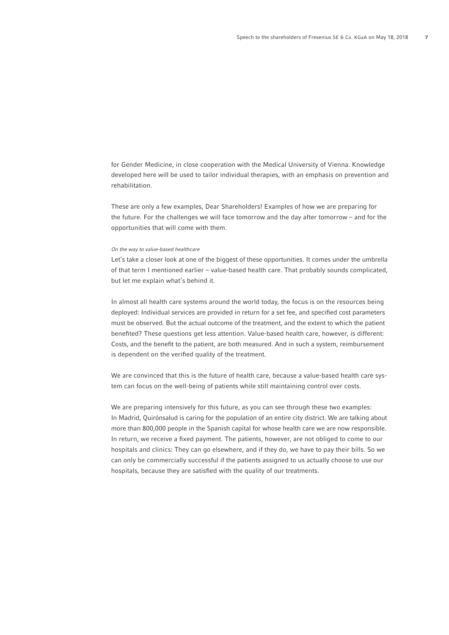for Gender Medicine, in close cooperation with the Medical University of Vienna. Knowledge developed here will be used to tailor individual therapies, with an emphasis on prevention and rehabilitation.

These are only a few examples, Dear Shareholders! Examples of how we are preparing for the future. For the challenges we will face tomorrow and the day after tomorrow – and for the opportunities that will come with them.

#### *On the way to value-based healthcare*

Let's take a closer look at one of the biggest of these opportunities. It comes under the umbrella of that term I mentioned earlier – value-based health care. That probably sounds complicated, but let me explain what's behind it.

In almost all health care systems around the world today, the focus is on the resources being deployed: Individual services are provided in return for a set fee, and specified cost parameters must be observed. But the actual outcome of the treatment, and the extent to which the patient benefited? These questions get less attention. Value-based health care, however, is different: Costs, and the benefit to the patient, are both measured. And in such a system, reimbursement is dependent on the verified quality of the treatment.

We are convinced that this is the future of health care, because a value-based health care system can focus on the well-being of patients while still maintaining control over costs.

We are preparing intensively for this future, as you can see through these two examples: In Madrid, Quirónsalud is caring for the population of an entire city district. We are talking about more than 800,000 people in the Spanish capital for whose health care we are now responsible. In return, we receive a fixed payment. The patients, however, are not obliged to come to our hospitals and clinics: They can go elsewhere, and if they do, we have to pay their bills. So we can only be commercially successful if the patients assigned to us actually choose to use our hospitals, because they are satisfied with the quality of our treatments.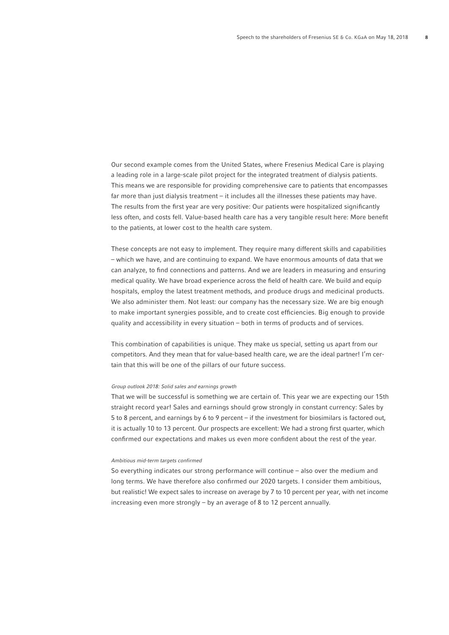Our second example comes from the United States, where Fresenius Medical Care is playing a leading role in a large-scale pilot project for the integrated treatment of dialysis patients. This means we are responsible for providing comprehensive care to patients that encompasses far more than just dialysis treatment – it includes all the illnesses these patients may have. The results from the first year are very positive: Our patients were hospitalized significantly less often, and costs fell. Value-based health care has a very tangible result here: More benefit to the patients, at lower cost to the health care system.

These concepts are not easy to implement. They require many different skills and capabilities – which we have, and are continuing to expand. We have enormous amounts of data that we can analyze, to find connections and patterns. And we are leaders in measuring and ensuring medical quality. We have broad experience across the field of health care. We build and equip hospitals, employ the latest treatment methods, and produce drugs and medicinal products. We also administer them. Not least: our company has the necessary size. We are big enough to make important synergies possible, and to create cost efficiencies. Big enough to provide quality and accessibility in every situation – both in terms of products and of services.

This combination of capabilities is unique. They make us special, setting us apart from our competitors. And they mean that for value-based health care, we are the ideal partner! I'm certain that this will be one of the pillars of our future success.

## *Group outlook 2018: Solid sales and earnings growth*

That we will be successful is something we are certain of. This year we are expecting our 15th straight record year! Sales and earnings should grow strongly in constant currency: Sales by 5 to 8 percent, and earnings by 6 to 9 percent – if the investment for biosimilars is factored out, it is actually 10 to 13 percent. Our prospects are excellent: We had a strong first quarter, which confirmed our expectations and makes us even more confident about the rest of the year.

# *Ambitious mid-term targets confirmed*

So everything indicates our strong performance will continue – also over the medium and long terms. We have therefore also confirmed our 2020 targets. I consider them ambitious, but realistic! We expect sales to increase on average by 7 to 10 percent per year, with net income increasing even more strongly – by an average of 8 to 12 percent annually.